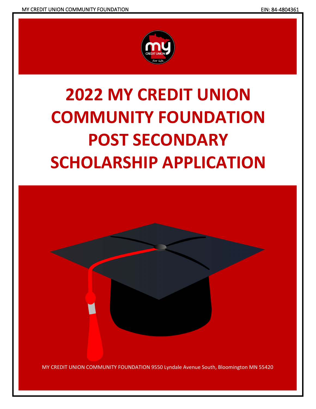

# **2022 MY CREDIT UNION COMMUNITY FOUNDATION POST SECONDARY SCHOLARSHIP APPLICATION**

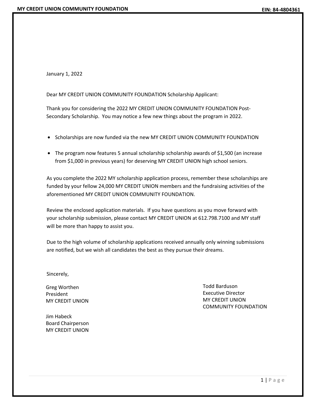January 1, 2022

Dear MY CREDIT UNION COMMUNITY FOUNDATION Scholarship Applicant:

Thank you for considering the 2022 MY CREDIT UNION COMMUNITY FOUNDATION Post-Secondary Scholarship. You may notice a few new things about the program in 2022.

- Scholarships are now funded via the new MY CREDIT UNION COMMUNITY FOUNDATION
- The program now features 5 annual scholarship scholarship awards of \$1,500 (an increase from \$1,000 in previous years) for deserving MY CREDIT UNION high school seniors.

As you complete the 2022 MY scholarship application process, remember these scholarships are funded by your fellow 24,000 MY CREDIT UNION members and the fundraising activities of the aforementioned MY CREDIT UNION COMMUNITY FOUNDATION.

Review the enclosed application materials. If you have questions as you move forward with your scholarship submission, please contact MY CREDIT UNION at 612.798.7100 and MY staff will be more than happy to assist you.

Due to the high volume of scholarship applications received annually only winning submissions are notified, but we wish all candidates the best as they pursue their dreams.

Sincerely,

Greg Worthen President MY CREDIT UNION

Jim Habeck Board Chairperson MY CREDIT UNION

Todd Barduson Executive Director MY CREDIT UNION COMMUNITY FOUNDATION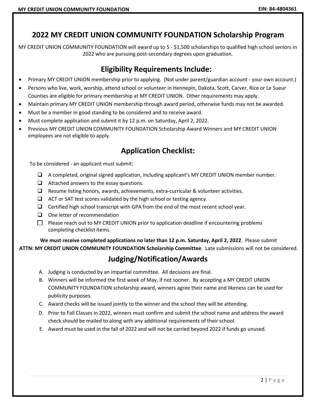# **2022 MY CREDIT UNION COMMUNITY FOUNDATION Scholarship Program**

MY CREDIT UNION COMMUNITY FOUNDATION will award up to 5 - \$1,500 scholarships to qualified high school seniors in 2022 who are pursuing post-secondary degrees upon graduation.

### **Eligibility Requirements Include:**

- Primary MY CREDIT UNION membership prior to applying. (Not under parent/guardian account your own account.)
- Persons who live, work, worship, attend school or volunteer in Hennepin, Dakota, Scott, Carver, Rice or Le Sueur Counties are eligible for primary membership at MY CREDIT UNION. Other requirements may apply.
- Maintain primary MY CREDIT UNION membership through award period, otherwise funds may not be awarded.
- Must be a member in good standing to be considered and to receive award.
- Must complete application and submit it by 12 p.m. on Saturday, April 2, 2022.
- Previous MY CREDIT UNION COMMUNITY FOUNDATION Scholarship Award Winners and MY CREDIT UNION employees are not eligible to apply.

# **Application Checklist:**

To be considered - an applicant must submit:

- $\Box$  A completed, original signed application, including applicant's MY CREDIT UNION member number.
- $\Box$  Attached answers to the essay questions.
- $\Box$  Resume listing honors, awards, achievements, extra-curricular & volunteer activities.
- $\Box$  ACT or SAT test scores validated by the high school or testing agency.
- $\Box$  Certified high school transcript with GPA from the end of the most recent school year.
- $\Box$  One letter of recommendation
- $\Box$  Please reach out to MY CREDIT UNION prior to application deadline if encountering problems completing checklist items.

**We must receive completed applications no later than 12 p.m. Saturday, April 2, 2022**. Please submit **ATTN: MY CREDIT UNION COMMUNITY FOUNDATION Scholarship Committee**. Late submissions will not be considered.

# **Judging/Notification/Awards**

- A. Judging is conducted by an impartial committee. All decisions are final.
- B. Winners will be informed the first week of May, if not sooner. By accepting a MY CREDIT UNION COMMUNITY FOUNDATION scholarship award, winners agree their name and likeness can be used for publicity purposes.
- C. Award checks will be issued jointly to the winner and the school they will be attending.
- D. Prior to Fall Classes in 2022, winners must confirm and submit the school name and address the award check should be mailed to along with any additional requirements of their school.
- E. Award must be used in the fall of 2022 and will not be carried beyond 2022 if funds go unused.